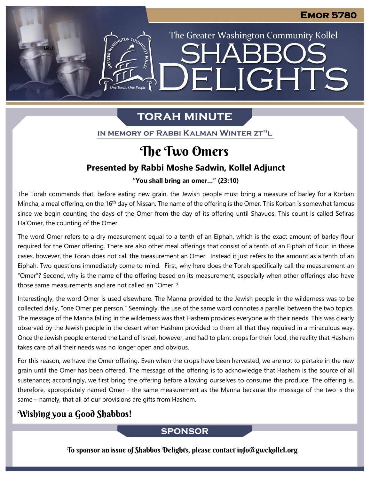The Greater Washington Community Kollel

ELIGHTS

**SHARR** 

# **TORAH MINUTE**

IN MEMORY OF RABBI KALMAN WINTER ZT"L

# The Two Omers

## **Presented by Rabbi Moshe Sadwin, Kollel Adjunct**

"You shall bring an omer..." (23:10)

The Torah commands that, before eating new grain, the Jewish people must bring a measure of barley for a Korban Mincha, a meal offering, on the 16<sup>th</sup> day of Nissan. The name of the offering is the Omer. This Korban is somewhat famous since we begin counting the days of the Omer from the day of its offering until Shavuos. This count is called Sefiras Ha'Omer, the counting of the Omer.

The word Omer refers to a dry measurement equal to a tenth of an Eiphah, which is the exact amount of barley flour required for the Omer offering. There are also other meal offerings that consist of a tenth of an Eiphah of flour. in those cases, however, the Torah does not call the measurement an Omer. Instead it just refers to the amount as a tenth of an Eiphah. Two questions immediately come to mind. First, why here does the Torah specifically call the measurement an "Omer"? Second, why is the name of the offering based on its measurement, especially when other offerings also have those same measurements and are not called an "Omer"?

Interestingly, the word Omer is used elsewhere. The Manna provided to the Jewish people in the wilderness was to be collected daily, "one Omer per person." Seemingly, the use of the same word connotes a parallel between the two topics. The message of the Manna falling in the wilderness was that Hashem provides everyone with their needs. This was clearly observed by the Jewish people in the desert when Hashem provided to them all that they required in a miraculous way. Once the Jewish people entered the Land of Israel, however, and had to plant crops for their food, the reality that Hashem takes care of all their needs was no longer open and obvious.

For this reason, we have the Omer offering. Even when the crops have been harvested, we are not to partake in the new grain until the Omer has been offered. The message of the offering is to acknowledge that Hashem is the source of all sustenance; accordingly, we first bring the offering before allowing ourselves to consume the produce. The offering is, therefore, appropriately named Omer - the same measurement as the Manna because the message of the two is the same – namely, that all of our provisions are gifts from Hashem.

## Wishing you a Good Shabbos!

test

## **SPONSOR**

To sponsor an issue of Shabbos Delights, please contact info@gwckollel.org